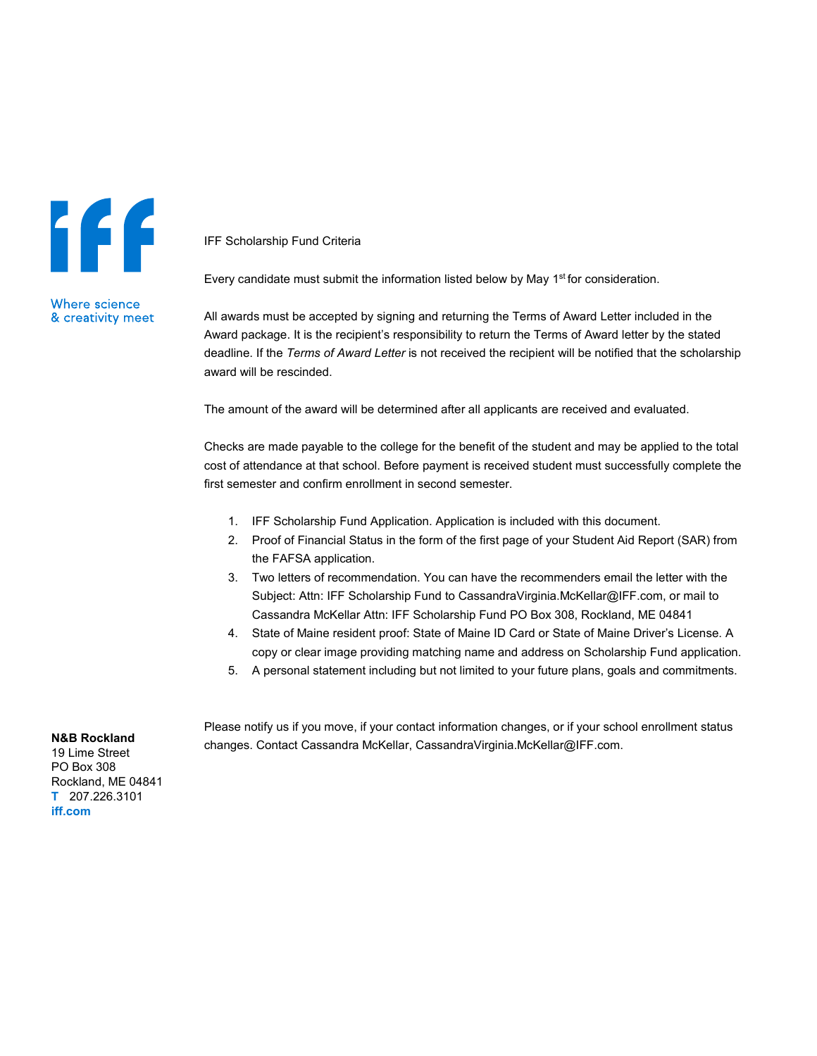## 146

IFF Scholarship Fund Criteria

Every candidate must submit the information listed below by May 1<sup>st</sup> for consideration.

**Where science** & creativity meet

All awards must be accepted by signing and returning the Terms of Award Letter included in the Award package. It is the recipient's responsibility to return the Terms of Award letter by the stated deadline. If the *Terms of Award Letter* is not received the recipient will be notified that the scholarship award will be rescinded.

The amount of the award will be determined after all applicants are received and evaluated.

Checks are made payable to the college for the benefit of the student and may be applied to the total cost of attendance at that school. Before payment is received student must successfully complete the first semester and confirm enrollment in second semester.

- 1. IFF Scholarship Fund Application. Application is included with this document.
- 2. Proof of Financial Status in the form of the first page of your Student Aid Report (SAR) from the FAFSA application.
- 3. Two letters of recommendation. You can have the recommenders email the letter with the Subject: Attn: IFF Scholarship Fund to CassandraVirginia.McKellar@IFF.com, or mail to Cassandra McKellar Attn: IFF Scholarship Fund PO Box 308, Rockland, ME 04841
- 4. State of Maine resident proof: State of Maine ID Card or State of Maine Driver's License. A copy or clear image providing matching name and address on Scholarship Fund application.
- 5. A personal statement including but not limited to your future plans, goals and commitments.

Please notify us if you move, if your contact information changes, or if your school enrollment status changes. Contact Cassandra McKellar, CassandraVirginia.McKellar@IFF.com.

## **N&B Rockland**

19 Lime Street PO Box 308 Rockland, ME 04841 **T** 207.226.3101 **[iff.com](https://www.iff.com/)**